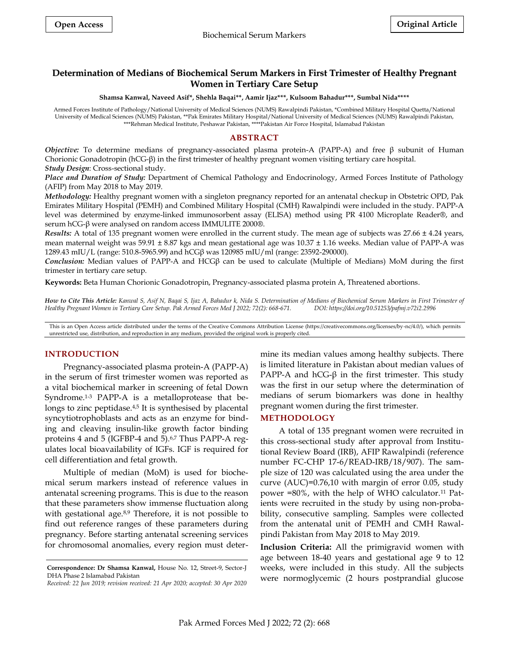# **Determination of Medians of Biochemical Serum Markers in First Trimester of Healthy Pregnant Women in Tertiary Care Setup**

#### **Shamsa Kanwal, Naveed Asif\*, Shehla Baqai\*\*, Aamir Ijaz\*\*\*, Kulsoom Bahadur\*\*\*, Sumbal Nida\*\*\*\***

Armed Forces Institute of Pathology/National University of Medical Sciences (NUMS) Rawalpindi Pakistan, \*Combined Military Hospital Quetta/National University of Medical Sciences (NUMS) Pakistan, \*\*Pak Emirates Military Hospital/National University of Medical Sciences (NUMS) Rawalpindi Pakistan, \*\*\*Rehman Medical Institute, Peshawar Pakistan, \*\*\*\*Pakistan Air Force Hospital, Islamabad Pakistan

# **ABSTRACT**

*Objective:* To determine medians of pregnancy-associated plasma protein-A (PAPP-A) and free β subunit of Human Chorionic Gonadotropin (hCG-β) in the first trimester of healthy pregnant women visiting tertiary care hospital. *Study Design*: Cross-sectional study.

*Place and Duration of Study:* Department of Chemical Pathology and Endocrinology, Armed Forces Institute of Pathology (AFIP) from May 2018 to May 2019.

*Methodology:* Healthy pregnant women with a singleton pregnancy reported for an antenatal checkup in Obstetric OPD, Pak Emirates Military Hospital (PEMH) and Combined Military Hospital (CMH) Rawalpindi were included in the study. PAPP-A level was determined by enzyme-linked immunosorbent assay (ELISA) method using PR 4100 Microplate Reader®, and serum hCG-β were analysed on random access IMMULITE 2000®.

*Results:* A total of 135 pregnant women were enrolled in the current study. The mean age of subjects was 27.66 ± 4.24 years, mean maternal weight was 59.91 ± 8.87 kgs and mean gestational age was 10.37 ± 1.16 weeks. Median value of PAPP-A was 1289.43 mIU/L (range: 510.8-5965.99) and hCGβ was 120985 mIU/ml (range: 23592-290000).

*Conclusion:* Median values of PAPP-A and HCGβ can be used to calculate (Multiple of Medians) MoM during the first trimester in tertiary care setup.

**Keywords:** Beta Human Chorionic Gonadotropin, Pregnancy-associated plasma protein A, Threatened abortions.

*How to Cite This Article: Kanwal S, Asif N, Baqai S, Ijaz A, Bahadur k, Nida S. Determination of Medians of Biochemical Serum Markers in First Trimester of Healthy Pregnant Women in Tertiary Care Setup. Pak Armed Forces Med J 2022; 72(2): 668-671. DOI: https://doi.org/10.51253/pafmj.v72i2.2996*

This is an Open Access article distributed under the terms of the Creative Commons Attribution License (https://creativecommons.org/licenses/by-nc/4.0/), which permits unrestricted use, distribution, and reproduction in any medium, provided the original work is properly cited.

### **INTRODUCTION**

Pregnancy-associated plasma protein-A (PAPP-A) in the serum of first trimester women was reported as a vital biochemical marker in screening of fetal Down Syndrome.1-3 PAPP-A is a metalloprotease that belongs to zinc peptidase.<sup>4,5</sup> It is synthesised by placental syncytiotrophoblasts and acts as an enzyme for binding and cleaving insulin-like growth factor binding proteins 4 and 5 (IGFBP-4 and 5).<sup>6,7</sup> Thus PAPP-A regulates local bioavailability of IGFs. IGF is required for cell [differentiation](https://www.merriam-webster.com/dictionary/differentiation) and fetal growth.

Multiple of median (MoM) is used for biochemical serum markers instead of reference values in antenatal screening programs. This is due to the reason that these parameters show immense fluctuation along with gestational age.<sup>8,9</sup> Therefore, it is not possible to find out reference ranges of these parameters during pregnancy. Before starting antenatal screening services for chromosomal anomalies, every region must deter-

*Received: 22 Jun 2019; revision received: 21 Apr 2020; accepted: 30 Apr 2020*

mine its median values among healthy subjects. There is limited literature in Pakistan about median values of PAPP-A and hCG- $β$  in the first trimester. This study was the first in our setup where the determination of medians of serum biomarkers was done in healthy pregnant women during the first trimester.

### **METHODOLOGY**

A total of 135 pregnant women were recruited in this cross-sectional study after approval from Institutional Review Board (IRB), AFIP Rawalpindi (reference number FC-CHP 17-6/READ-IRB/18/907). The sample size of 120 was calculated using the area under the curve (AUC)=0.76,10 with margin of error 0.05, study power =80%, with the help of WHO calculator.<sup>11</sup> Patients were recruited in the study by using non-probability, consecutive sampling. Samples were collected from the antenatal unit of PEMH and CMH Rawalpindi Pakistan from May 2018 to May 2019.

**Inclusion Criteria:** All the primigravid women with age between 18-40 years and gestational age 9 to 12 weeks, were included in this study. All the subjects were normoglycemic (2 hours postprandial glucose

**Correspondence: Dr Shamsa Kanwal,** House No. 12, Street-9, Sector-J DHA Phase 2 Islamabad Pakistan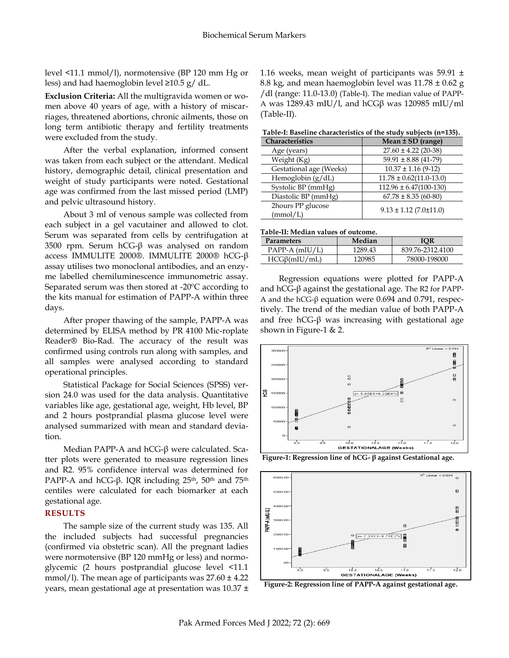level <11.1 mmol/l), normotensive (BP 120 mm Hg or less) and had haemoglobin level ≥10.5 g/ dL.

**Exclusion Criteria:** All the multigravida women or women above 40 years of age, with a history of miscarriages, threatened abortions, chronic ailments, those on long term antibiotic therapy and fertility treatments were excluded from the study.

After the verbal explanation, informed consent was taken from each subject or the attendant. Medical history, demographic detail, clinical presentation and weight of study participants were noted. Gestational age was confirmed from the last missed period (LMP) and pelvic ultrasound history.

About 3 ml of venous sample was collected from each subject in a gel vacutainer and allowed to clot. Serum was separated from cells by centrifugation at 3500 rpm. Serum hCG-β was analysed on random access IMMULITE 2000®. IMMULITE 2000® hCG-β assay utilises two monoclonal antibodies, and an enzyme labelled chemiluminescence immunometric assay. Separated serum was then stored at -20ºC according to the kits manual for estimation of PAPP-A within three days.

After proper thawing of the sample, PAPP-A was determined by ELISA method by PR 4100 Mic-roplate Reader® Bio-Rad. The accuracy of the result was confirmed using controls run along with samples, and all samples were analysed according to standard operational principles.

Statistical Package for Social Sciences (SPSS) version 24.0 was used for the data analysis. Quantitative variables like age, gestational age, weight, Hb level, BP and 2 hours postprandial plasma glucose level were analysed summarized with mean and standard deviation.

Median PAPP-A and hCG-β were calculated. Scatter plots were generated to measure regression lines and R2. 95% confidence interval was determined for PAPP-A and hCG-β. IQR including 25<sup>th</sup>, 50<sup>th</sup> and 75<sup>th</sup> centiles were calculated for each biomarker at each gestational age.

## **RESULTS**

The sample size of the current study was 135. All the included subjects had successful pregnancies (confirmed via obstetric scan). All the pregnant ladies were normotensive (BP 120 mmHg or less) and normoglycemic (2 hours postprandial glucose level <11.1 mmol/l). The mean age of participants was  $27.60 \pm 4.22$ years, mean gestational age at presentation was 10.37 ± 1.16 weeks, mean weight of participants was 59.91  $\pm$ 8.8 kg, and mean haemoglobin level was  $11.78 \pm 0.62$  g /dl (range: 11.0-13.0) (Table-I). The median value of PAPP-A was 1289.43 mIU/l, and hCG $β$  was 120985 mIU/ml (Table-II).

**Table-I: Baseline characteristics of the study subjects (n=135).**

| Characteristics               | Mean ± SD (range)           |
|-------------------------------|-----------------------------|
| Age (years)                   | $27.60 \pm 4.22$ (20-38)    |
| Weight (Kg)                   | $59.91 \pm 8.88$ (41-79)    |
| Gestational age (Weeks)       | $10.37 \pm 1.16$ (9-12)     |
| Hemoglobin $(g/dL)$           | $11.78 \pm 0.62(11.0-13.0)$ |
| Systolic BP (mmHg)            | $112.96 \pm 6.47(100-130)$  |
| Diastolic BP (mmHg)           | $67.78 \pm 8.35(60-80)$     |
| 2hours PP glucose<br>(mmol/L) | $9.13 \pm 1.12$ (7.0±11.0)  |

#### **Table-II: Median values of outcome.**

| <b>Parameters</b>  | Median  | IOR              |
|--------------------|---------|------------------|
| $PAPP-A$ (mIU/L)   | 1289.43 | 839.76-2312.4100 |
| $HCG\beta(mIU/mL)$ | 120985  | 78000-198000     |

Regression equations were plotted for PAPP-A and hCG-β against the gestational age. The R2 for PAPP-A and the hCG-β equation were 0.694 and 0.791, respectively. The trend of the median value of both PAPP-A and free hCG-β was increasing with gestational age shown in Figure-1 & 2.



**Figure-1: Regression line of hCG- β against Gestational age.**



**Figure-2: Regression line of PAPP-A against gestational age.**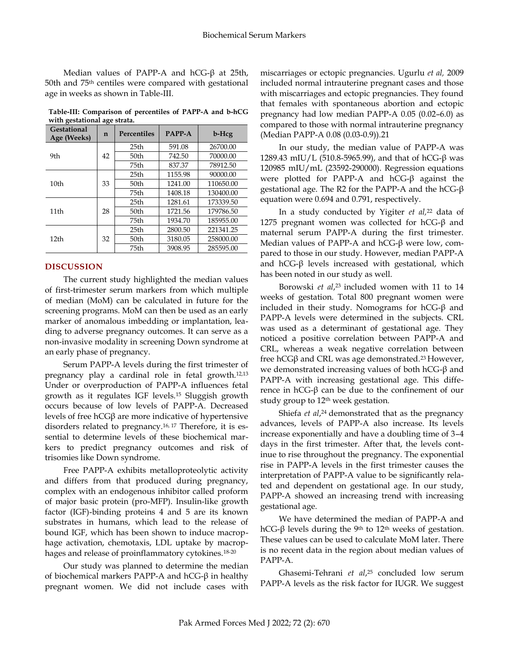Median values of PAPP-A and hCG-β at 25th, 50th and 75th centiles were compared with gestational age in weeks as shown in Table-III.

**Table-III: Comparison of percentiles of PAPP-A and b-hCG with gestational age strata.**

| <b>Gestational</b><br>Age (Weeks) | $\mathbf n$ | <b>Percentiles</b> | <b>PAPP-A</b> | b-Hcg     |
|-----------------------------------|-------------|--------------------|---------------|-----------|
| 9th                               | 42          | 25 <sub>th</sub>   | 591.08        | 26700.00  |
|                                   |             | 50th               | 742.50        | 70000.00  |
|                                   |             | 75th               | 837.37        | 78912.50  |
| 10 <sub>th</sub>                  | 33          | 25 <sub>th</sub>   | 1155.98       | 90000.00  |
|                                   |             | 50th               | 1241.00       | 110650.00 |
|                                   |             | 75th               | 1408.18       | 130400.00 |
| 11th                              | 28          | 25th               | 1281.61       | 173339.50 |
|                                   |             | 50 <sub>th</sub>   | 1721.56       | 179786.50 |
|                                   |             | 75th               | 1934.70       | 185955.00 |
| 12 <sub>th</sub>                  | 32          | 25th               | 2800.50       | 221341.25 |
|                                   |             | 50th               | 3180.05       | 258000.00 |
|                                   |             | 75th               | 3908.95       | 285595.00 |

# **DISCUSSION**

The current study highlighted the median values of first-trimester serum markers from which multiple of median (MoM) can be calculated in future for the screening programs. MoM can then be used as an early marker of anomalous imbedding or implantation, leading to adverse pregnancy outcomes. It can serve as a non-invasive modality in screening Down syndrome at an early phase of pregnancy.

Serum PAPP-A levels during the first trimester of pregnancy play a cardinal role in fetal growth.12,13 Under or overproduction of PAPP-A influences fetal growth as it regulates IGF levels.<sup>15</sup> Sluggish growth occurs because of low levels of PAPP-A. Decreased levels of free hCGβ are more indicative of hypertensive disorders related to pregnancy.16, <sup>17</sup> Therefore, it is essential to determine levels of these biochemical markers to predict pregnancy outcomes and risk of trisomies like Down syndrome.

Free PAPP-A exhibits metalloproteolytic activity and differs from that produced during pregnancy, complex with an endogenous inhibitor called proform of major basic protein (pro-MFP). Insulin-like growth factor (IGF)-binding proteins 4 and 5 are its known substrates in humans, which lead to the release of bound IGF, which has been shown to induce macrophage activation, chemotaxis, LDL uptake by macrophages and release of proinflammatory cytokines.18-20

Our study was planned to determine the median of biochemical markers PAPP-A and hCG-β in healthy pregnant women. We did not include cases with miscarriages or ectopic pregnancies. Ugurlu *et al,* 2009 included normal intrauterine pregnant cases and those with miscarriages and ectopic pregnancies. They found that females with spontaneous abortion and ectopic pregnancy had low median PAPP-A 0.05 (0.02–6.0) as compared to those with normal intrauterine pregnancy (Median PAPP-A 0.08 (0.03-0.9)).21

In our study, the median value of PAPP-A was 1289.43 mIU/L (510.8-5965.99), and that of hCG-β was 120985 mIU/mL (23592-290000). Regression equations were plotted for PAPP-A and hCG-β against the gestational age. The R2 for the PAPP-A and the hCG-β equation were 0.694 and 0.791, respectively.

In a study conducted by Yigiter *et al,* <sup>22</sup> data of 1275 pregnant women was collected for  $hCG-\beta$  and maternal serum PAPP-A during the first trimester. Median values of PAPP-A and hCG-β were low, compared to those in our study. However, median PAPP-A and  $hCG-β$  levels increased with gestational, which has been noted in our study as well.

Borowski *et al*, <sup>23</sup> included women with 11 to 14 weeks of gestation. Total 800 pregnant women were included in their study. Nomograms for hCG-β and PAPP-A levels were determined in the subjects. CRL was used as a determinant of gestational age. They noticed a positive correlation between PAPP-A and CRL, whereas a weak negative correlation between free hCGβ and CRL was age demonstrated.<sup>23</sup> However, we demonstrated increasing values of both hCG-β and PAPP-A with increasing gestational age. This difference in hCG-β can be due to the confinement of our study group to 12<sup>th</sup> week gestation.

Shiefa *et al*,<sup>24</sup> demonstrated that as the pregnancy advances, levels of PAPP-A also increase. Its levels increase exponentially and have a doubling time of 3–4 days in the first trimester. After that, the levels continue to rise throughout the pregnancy. The exponential rise in PAPP-A levels in the first trimester causes the interpretation of PAPP-A value to be significantly related and dependent on gestational age. In our study, PAPP-A showed an increasing trend with increasing gestational age.

We have determined the median of PAPP-A and hCG-β levels during the 9<sup>th</sup> to 12<sup>th</sup> weeks of gestation. These values can be used to calculate MoM later. There is no recent data in the region about median values of PAPP-A.

Ghasemi-Tehrani *et al*, <sup>25</sup> concluded low serum PAPP-A levels as the risk factor for IUGR. We suggest